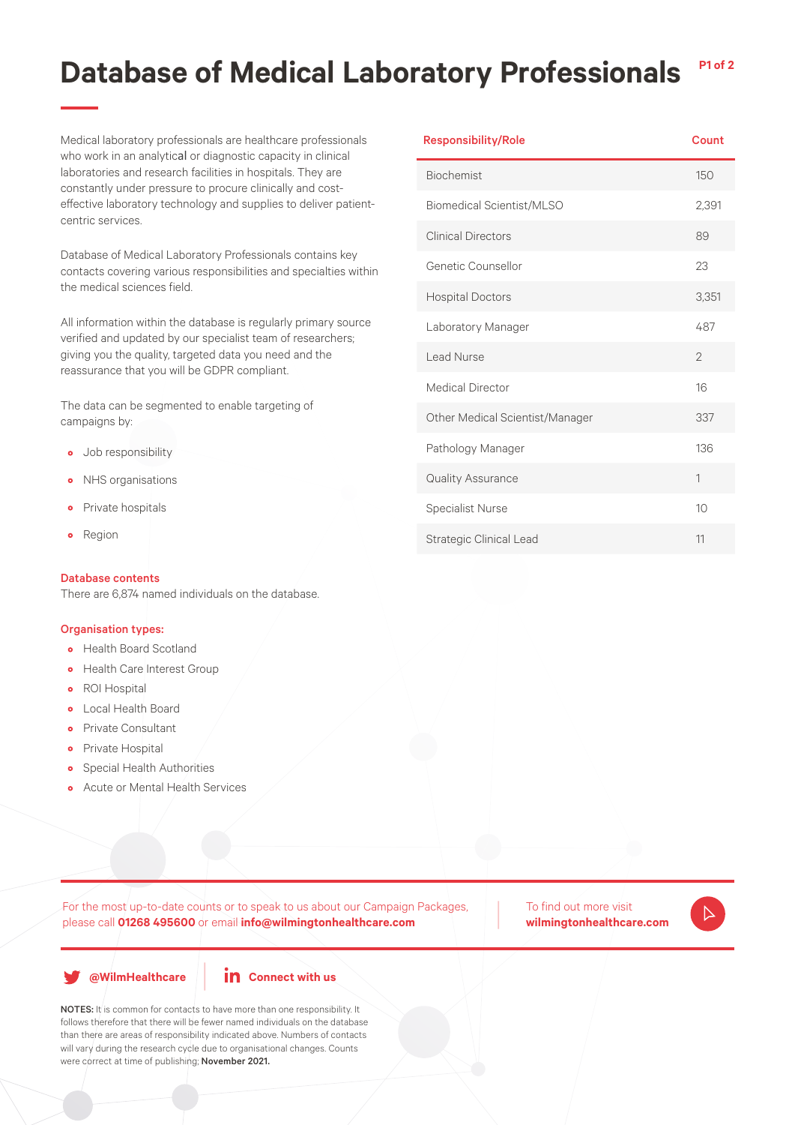## **Database of Medical Laboratory Professionals P1 of 2**

Medical laboratory professionals are healthcare professionals who work in an analytical or diagnostic capacity in clinical laboratories and research facilities in hospitals. They are constantly under pressure to procure clinically and costeffective laboratory technology and supplies to deliver patientcentric services.

Database of Medical Laboratory Professionals contains key contacts covering various responsibilities and specialties within the medical sciences field.

All information within the database is regularly primary source verified and updated by our specialist team of researchers; giving you the quality, targeted data you need and the reassurance that you will be GDPR compliant.

The data can be segmented to enable targeting of campaigns by:

- Job responsibility
- NHS organisations
- Private hospitals
- Region

### Database contents

There are 6,874 named individuals on the database.

#### Organisation types:

- Health Board Scotland
- Health Care Interest Group
- ROI Hospital
- Local Health Board
- Private Consultant
- Private Hospital
- Special Health Authorities
- Acute or Mental Health Services

For the most up-to-date counts or to speak to us about our Campaign Packages, please call **01268 495600** or email **info@wilmingtonhealthcare.com**

To find out more visit **wilmingtonhealthcare.com**



|  |  | @WilmHealthcare |  |
|--|--|-----------------|--|
|  |  |                 |  |



NOTES: It is common for contacts to have more than one responsibility. It follows therefore that there will be fewer named individuals on the database than there are areas of responsibility indicated above. Numbers of contacts will vary during the research cycle due to organisational changes. Counts were correct at time of publishing; November 2021.

| <b>Responsibility/Role</b>       | Count          |
|----------------------------------|----------------|
| <b>Biochemist</b>                | 150            |
| <b>Biomedical Scientist/MLSO</b> | 2,391          |
| <b>Clinical Directors</b>        | 89             |
| Genetic Counsellor               | 23             |
| <b>Hospital Doctors</b>          | 3,351          |
| Laboratory Manager               | 487            |
| Lead Nurse                       | $\overline{2}$ |
| <b>Medical Director</b>          | 16             |
| Other Medical Scientist/Manager  | 337            |
| Pathology Manager                | 136            |
| Quality Assurance                | 1              |
| <b>Specialist Nurse</b>          | 10             |
| <b>Strategic Clinical Lead</b>   | 11             |